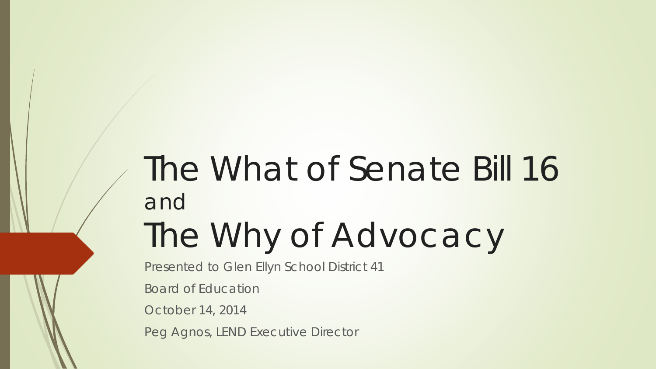## The What of Senate Bill 16 and The Why of Advocacy

Presented to Glen Ellyn School District 41

Board of Education

October 14, 2014

Peg Agnos, LEND Executive Director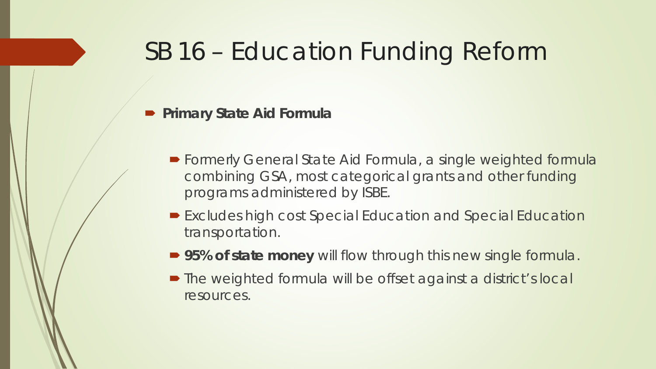#### SB 16 – Education Funding Reform

#### **Primary State Aid Formula**

- Formerly General State Aid Formula, a single weighted formula combining GSA, most categorical grants and other funding programs administered by ISBE.
- Excludes high cost Special Education and Special Education transportation.
- **95% of state money** will flow through this new single formula.
- The weighted formula will be offset against a district's local resources.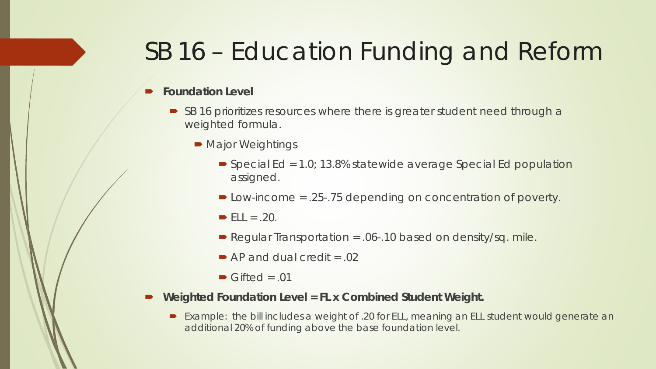### SB 16 – Education Funding and Reform

#### **Foundation Level**

- SB 16 prioritizes resources where there is greater student need through a weighted formula.
	- Major Weightings
		- $\triangleright$  Special Ed = 1.0; 13.8% statewide average Special Ed population assigned.
		- Low-income = .25-.75 depending on concentration of poverty.
		- $\blacktriangleright$  ELL = .20.
		- Regular Transportation =  $.06 10$  based on density/sq. mile.
		- $\blacktriangleright$  AP and dual credit = .02
		- $\blacktriangleright$  Gifted = .01
- **Weighted Foundation Level = FL x Combined Student Weight.**
	- Example: the bill includes a weight of .20 for ELL, meaning an ELL student would generate an additional 20% of funding above the base foundation level.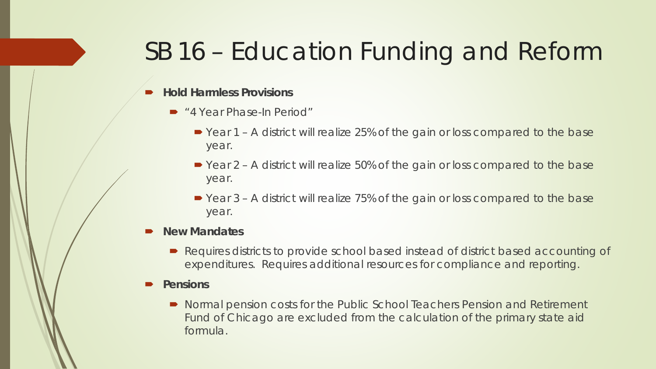### SB 16 – Education Funding and Reform

#### **Hold Harmless Provisions**

- "4 Year Phase-In Period"
	- Year 1 A district will realize 25% of the gain or loss compared to the base year.
	- Year 2 A district will realize 50% of the gain or loss compared to the base year.
	- Year 3 A district will realize 75% of the gain or loss compared to the base year.

#### **New Mandates**

- Requires districts to provide school based instead of district based accounting of expenditures. Requires additional resources for compliance and reporting.
- **Pensions**
	- Normal pension costs for the Public School Teachers Pension and Retirement Fund of Chicago are excluded from the calculation of the primary state aid formula.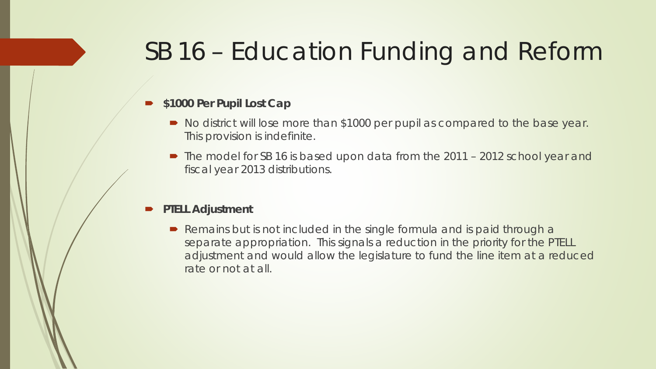#### SB 16 – Education Funding and Reform

#### **\$1000 Per Pupil Lost Cap**

- No district will lose more than \$1000 per pupil as compared to the base year. This provision is indefinite.
- The model for SB 16 is based upon data from the 2011 2012 school year and fiscal year 2013 distributions.

#### **PTELL Adjustment**

Remains but is not included in the single formula and is paid through a separate appropriation. This signals a reduction in the priority for the PTELL adjustment and would allow the legislature to fund the line item at a reduced rate or not at all.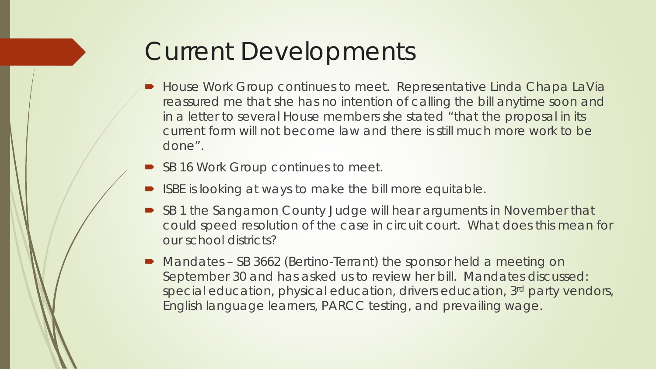### Current Developments

- **House Work Group continues to meet. Representative Linda Chapa LaVia** reassured me that she has no intention of calling the bill anytime soon and in a letter to several House members she stated "that the proposal in its current form will not become law and there is still much more work to be done".
- SB 16 Work Group continues to meet.
- ISBE is looking at ways to make the bill more equitable.
- SB 1 the Sangamon County Judge will hear arguments in November that could speed resolution of the case in circuit court. What does this mean for our school districts?
- Mandates SB 3662 (Bertino-Terrant) the sponsor held a meeting on September 30 and has asked us to review her bill. Mandates discussed: special education, physical education, drivers education, 3rd party vendors, English language learners, PARCC testing, and prevailing wage.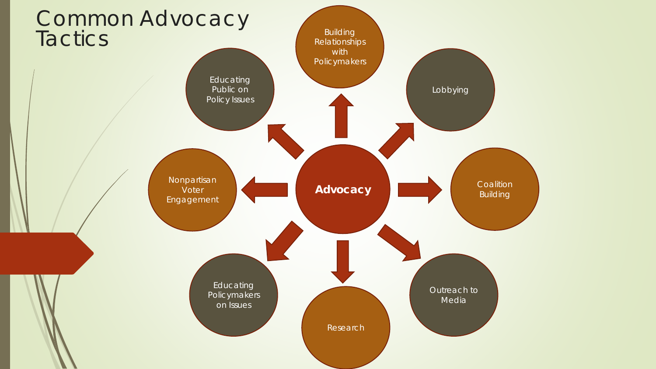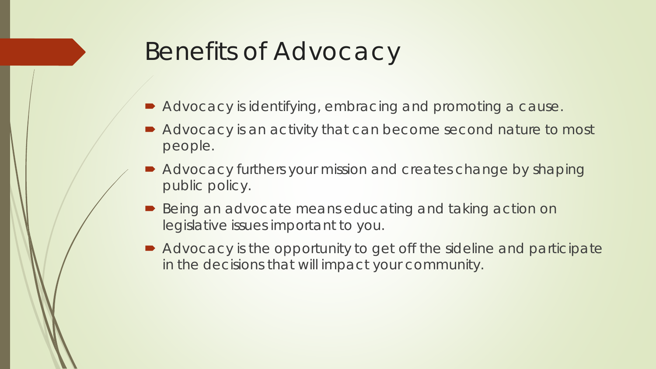### Benefits of Advocacy

- Advocacy is identifying, embracing and promoting a cause.
- Advocacy is an activity that can become second nature to most people.
- Advocacy furthers your mission and creates change by shaping public policy.
- Being an advocate means educating and taking action on legislative issues important to you.
- Advocacy is the opportunity to get off the sideline and participate in the decisions that will impact your community.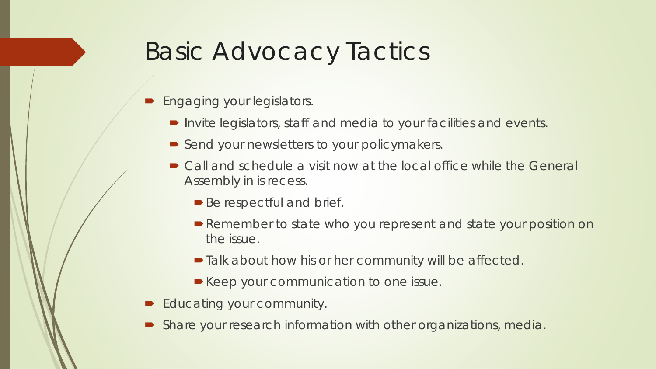### Basic Advocacy Tactics

- Engaging your legislators.
	- Invite legislators, staff and media to your facilities and events.
	- Send your newsletters to your policymakers.
	- Call and schedule a visit now at the local office while the General Assembly in is recess.
		- Be respectful and brief.
		- Remember to state who you represent and state your position on the issue.
		- $\blacksquare$  Talk about how his or her community will be affected.
		- Keep your communication to one issue.
- Educating your community.
- Share your research information with other organizations, media.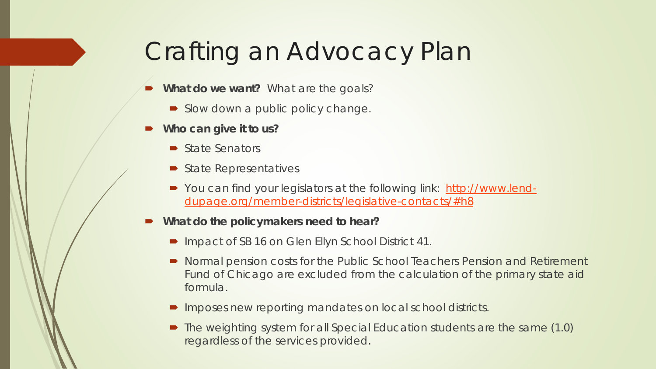### Crafting an Advocacy Plan

- **What do we want?** What are the goals?
	- Slow down a public policy change.
- **Who can give it to us?** 
	- State Senators
	- State Representatives
	- You can find your legislators at the following link: [http://www.lend](http://www.lend-dupage.org/member-districts/legislative-contacts/)[dupage.org/member-districts/legislative-contacts/#h8](http://www.lend-dupage.org/member-districts/legislative-contacts/)
- **What do the policymakers need to hear?**
	- Impact of SB 16 on Glen Ellyn School District 41.
	- Normal pension costs for the Public School Teachers Pension and Retirement Fund of Chicago are excluded from the calculation of the primary state aid formula.
	- **IMPOSES NEW reporting mandates on local school districts.**
	- The weighting system for all Special Education students are the same (1.0) regardless of the services provided.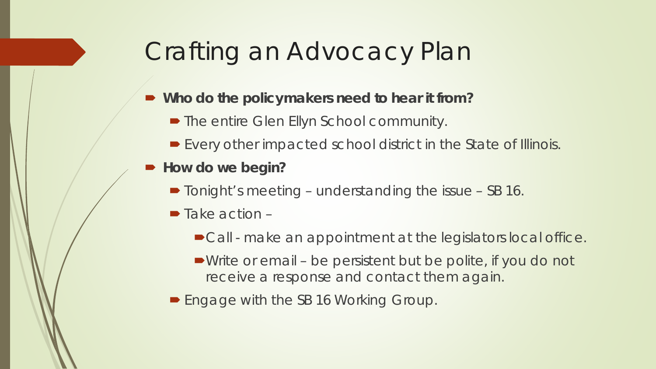### Crafting an Advocacy Plan

- **Who do the policymakers need to hear it from?**
	- The entire Glen Ellyn School community.
	- Every other impacted school district in the State of Illinois.
- How do we begin?
	- Tonight's meeting understanding the issue SB 16.
	- $\blacksquare$  Take action
		- Call make an appointment at the legislators local office.
		- Write or email be persistent but be polite, if you do not receive a response and contact them again.
	- **Engage with the SB 16 Working Group.**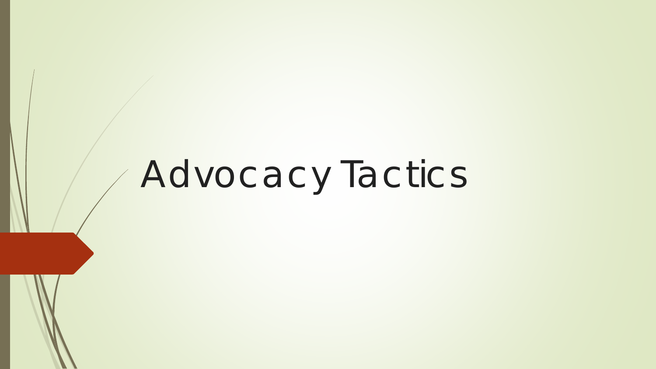# Advocacy Tactics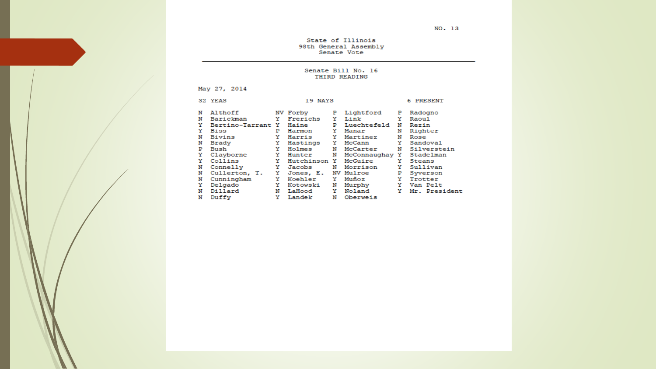NO. 13

State of Illinois 98th General Assembly<br>Senate Vote

#### Senate Bill No. 16 THIRD READING

May 27, 2014

|   | 32 YEAS<br>19 NAYS |   |              |    |                |    | 6 PRESENT     |
|---|--------------------|---|--------------|----|----------------|----|---------------|
| N | Althoff            |   | NV Forby     | Р  | Lightford      | Р  | Radogno       |
| N | Barickman          | Y | Frerichs     | Y  | Link           | Y  | Raoul         |
| Y | Bertino-Tarrant Y  |   | Haine        | Р  | Luechtefeld    | N  | Rezin         |
| Y | Biss               | P | Harmon       | Y  | Manar          | N  | Righter       |
| N | Bivins             | Y | Harris       | Y  | Martinez       | N  | Rose          |
| N | Brady              | Y | Hastings     | Y. | McCann         | Y. | Sandoval      |
| Р | Bush               | Y | Holmes       | N  | McCarter       | N  | Silverstein   |
| Y | Clayborne          | Y | Hunter       | N  | McConnaughay Y |    | Stadelman     |
| Y | Collins            | Y | Hutchinson Y |    | McGuire        | Y  | Steans        |
| N | Connelly           | Y | Jacobs       | N  | Morrison       | Y  | Sullivan      |
| N | Cullerton, T.      | Y | Jones, E.    |    | NV Mulroe      | Р  | Syverson      |
| N | Cunningham         | Y | Koehler      | Y. | Muñoz          | Y. | Trotter       |
| Y | Delgado            | Y | Kotowski     | N  | Murphy         | Y  | Van Pelt      |
| N | Dillard            | N | LaHood       | Y  | Noland         | Y  | Mr. President |
| N | Duffy              | Y | Landek       | N  | Oberweis       |    |               |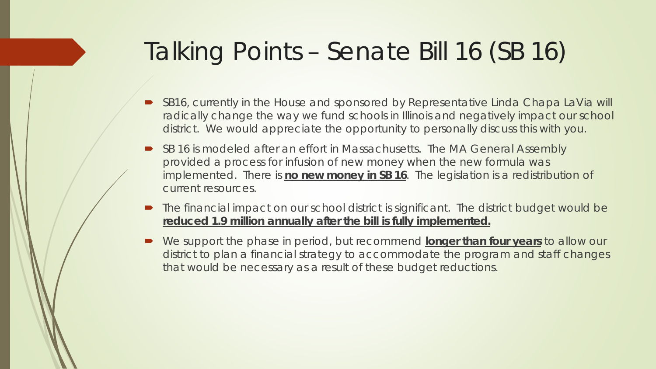### Talking Points – Senate Bill 16 (SB 16)

- SB16, currently in the House and sponsored by Representative Linda Chapa LaVia will radically change the way we fund schools in Illinois and negatively impact our school district. We would appreciate the opportunity to personally discuss this with you.
- SB 16 is modeled after an effort in Massachusetts. The MA General Assembly provided a process for infusion of new money when the new formula was implemented. There is **no new money in SB 16**. The legislation is a redistribution of current resources.
- The financial impact on our school district is significant. The district budget would be **reduced 1.9 million annually after the bill is fully implemented.**
- We support the phase in period, but recommend **longer than four years** to allow our district to plan a financial strategy to accommodate the program and staff changes that would be necessary as a result of these budget reductions.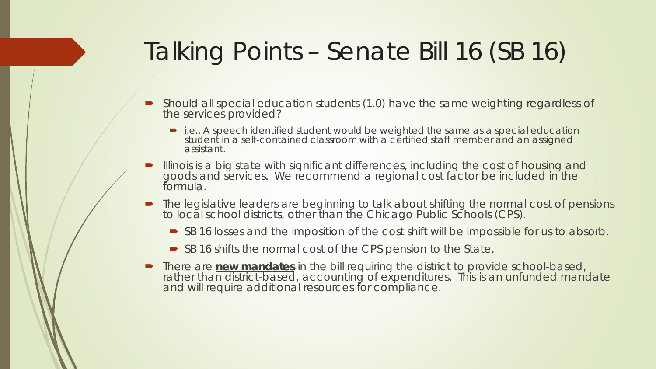## Talking Points – Senate Bill 16 (SB 16)

- Should all special education students (1.0) have the same weighting regardless of the services provided?
	- i.e., A speech identified student would be weighted the same as a special education student in a self-contained classroom with a certified staff member and an assigned assistant.
- **Illinois is a big state with significant differences, including the cost of housing and** goods and services. We recommend a regional cost factor be included in the formula.
- The legislative leaders are beginning to talk about shifting the normal cost of pensions to local school districts, other than the Chicago Public Schools (CPS).
	- SB 16 losses and the imposition of the cost shift will be impossible for us to absorb.
	- SB 16 shifts the normal cost of the CPS pension to the State.
- **There are new mandates** in the bill requiring the district to provide school-based, rather than district-based, accounting of expenditures. This is an unfunded mandate and will require additional resources for compliance.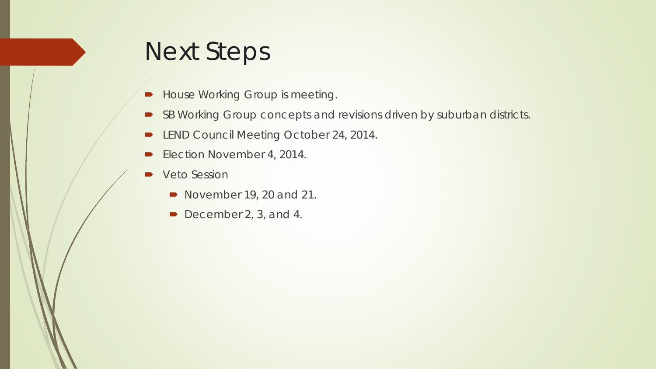### Next Steps

- **House Working Group is meeting.**
- SB Working Group concepts and revisions driven by suburban districts.
- **-** LEND Council Meeting October 24, 2014.
- Election November 4, 2014.
- **Veto Session** 
	- November 19, 20 and 21.
	- December 2, 3, and 4.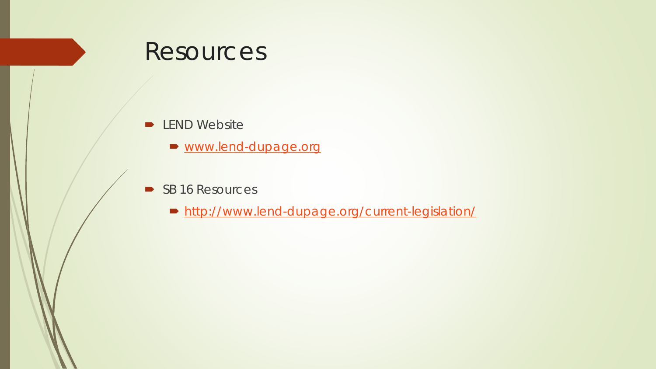#### Resources

#### **D** LEND Website

- [www.lend-dupage.org](http://www.lend-dupage.org/)
- SB 16 Resources
	- <http://www.lend-dupage.org/current-legislation/>